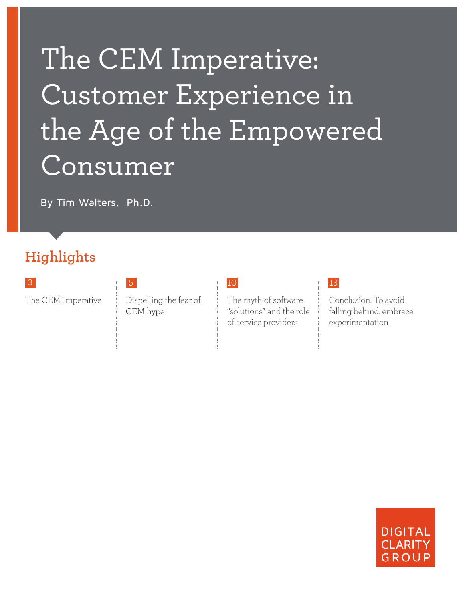# The CEM Imperative: Customer Experience in the Age of the Empowered Consumer

By Tim Walters, Ph.D.

## **Highlights**

The CEM Imperative Dispelling the fear of CEM hype

The myth of software "solutions" and the role of service providers

### 3 13

Conclusion: To avoid falling behind, embrace experimentation

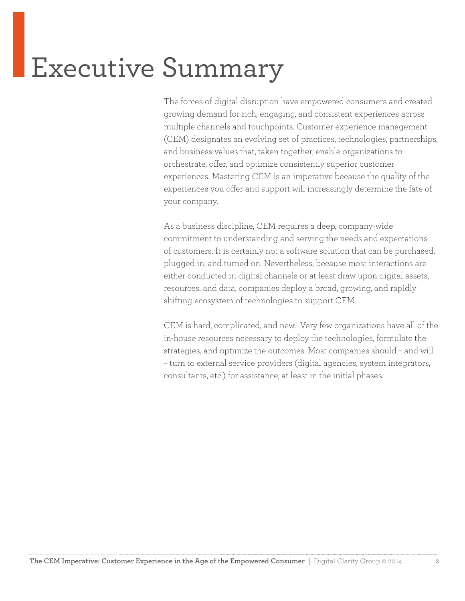## Executive Summary

The forces of digital disruption have empowered consumers and created growing demand for rich, engaging, and consistent experiences across multiple channels and touchpoints. Customer experience management (CEM) designates an evolving set of practices, technologies, partnerships, and business values that, taken together, enable organizations to orchestrate, offer, and optimize consistently superior customer experiences. Mastering CEM is an imperative because the quality of the experiences you offer and support will increasingly determine the fate of your company.

As a business discipline, CEM requires a deep, company-wide commitment to understanding and serving the needs and expectations of customers. It is certainly not a software solution that can be purchased, plugged in, and turned on. Nevertheless, because most interactions are either conducted in digital channels or at least draw upon digital assets, resources, and data, companies deploy a broad, growing, and rapidly shifting ecosystem of technologies to support CEM.

CEM is hard, complicated, and new.1 Very few organizations have all of the in-house resources necessary to deploy the technologies, formulate the strategies, and optimize the outcomes. Most companies should – and will – turn to external service providers (digital agencies, system integrators, consultants, etc.) for assistance, at least in the initial phases.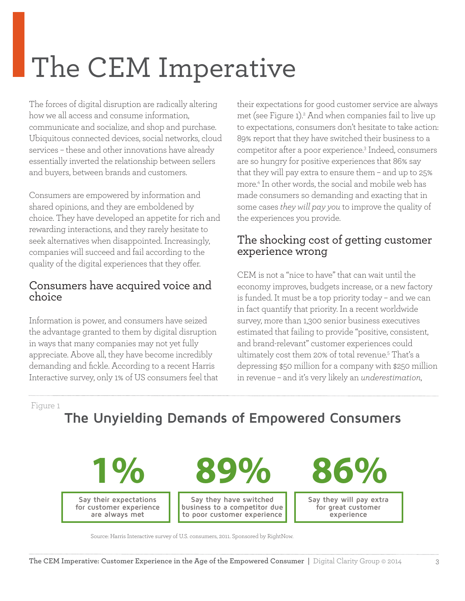## The CEM Imperative

The forces of digital disruption are radically altering how we all access and consume information, communicate and socialize, and shop and purchase. Ubiquitous connected devices, social networks, cloud services – these and other innovations have already essentially inverted the relationship between sellers and buyers, between brands and customers.

Consumers are empowered by information and shared opinions, and they are emboldened by choice. They have developed an appetite for rich and rewarding interactions, and they rarely hesitate to seek alternatives when disappointed. Increasingly, companies will succeed and fail according to the quality of the digital experiences that they offer.

### Consumers have acquired voice and choice

Information is power, and consumers have seized the advantage granted to them by digital disruption in ways that many companies may not yet fully appreciate. Above all, they have become incredibly demanding and fickle. According to a recent Harris Interactive survey, only 1% of US consumers feel that their expectations for good customer service are always met (see Figure 1).<sup>2</sup> And when companies fail to live up to expectations, consumers don't hesitate to take action: 89% report that they have switched their business to a competitor after a poor experience.3 Indeed, consumers are so hungry for positive experiences that 86% say that they will pay extra to ensure them – and up to 25% more.4 In other words, the social and mobile web has made consumers so demanding and exacting that in some cases *they will pay you* to improve the quality of the experiences you provide.

### The shocking cost of getting customer experience wrong

CEM is not a "nice to have" that can wait until the economy improves, budgets increase, or a new factory is funded. It must be a top priority today – and we can in fact quantify that priority. In a recent worldwide survey, more than 1,300 senior business executives estimated that failing to provide "positive, consistent, and brand-relevant" customer experiences could ultimately cost them 20% of total revenue.5 That's a depressing \$50 million for a company with \$250 million in revenue – and it's very likely an *underestimation*,

Figure 1

## **The Unyielding Demands of Empowered Consumers**

**Say their expectations for customer experience are always met 1%**

**89%**

**Say they have switched business to a competitor due to poor customer experience**

**86%**

**Say they will pay extra for great customer experience**

Source: Harris Interactive survey of U.S. consumers, 2011. Sponsored by RightNow.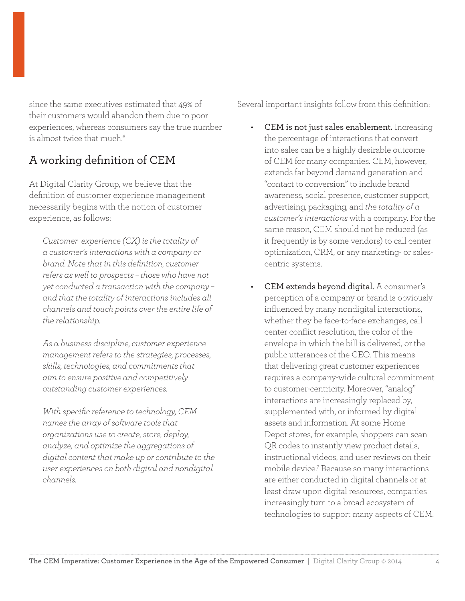since the same executives estimated that 49% of their customers would abandon them due to poor experiences, whereas consumers say the true number is almost twice that much.<sup>6</sup>

## A working definition of CEM

At Digital Clarity Group, we believe that the definition of customer experience management necessarily begins with the notion of customer experience, as follows:

*Customer experience (CX) is the totality of a customer's interactions with a company or brand. Note that in this definition, customer refers as well to prospects – those who have not yet conducted a transaction with the company – and that the totality of interactions includes all channels and touch points over the entire life of the relationship.* 

*As a business discipline, customer experience management refers to the strategies, processes, skills, technologies, and commitments that aim to ensure positive and competitively outstanding customer experiences.* 

*With specific reference to technology, CEM names the array of software tools that organizations use to create, store, deploy, analyze, and optimize the aggregations of digital content that make up or contribute to the user experiences on both digital and nondigital channels.* 

Several important insights follow from this definition:

- CEM is not just sales enablement. Increasing the percentage of interactions that convert into sales can be a highly desirable outcome of CEM for many companies. CEM, however, extends far beyond demand generation and "contact to conversion" to include brand awareness, social presence, customer support, advertising, packaging, and *the totality of a customer's interactions* with a company. For the same reason, CEM should not be reduced (as it frequently is by some vendors) to call center optimization, CRM, or any marketing- or salescentric systems.
- CEM extends beyond digital. A consumer's perception of a company or brand is obviously influenced by many nondigital interactions, whether they be face-to-face exchanges, call center conflict resolution, the color of the envelope in which the bill is delivered, or the public utterances of the CEO. This means that delivering great customer experiences requires a company-wide cultural commitment to customer-centricity. Moreover, "analog" interactions are increasingly replaced by, supplemented with, or informed by digital assets and information. At some Home Depot stores, for example, shoppers can scan QR codes to instantly view product details, instructional videos, and user reviews on their mobile device.7 Because so many interactions are either conducted in digital channels or at least draw upon digital resources, companies increasingly turn to a broad ecosystem of technologies to support many aspects of CEM.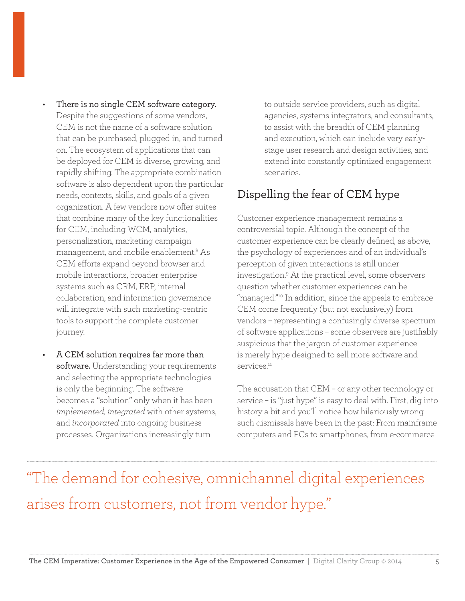- There is no single CEM software category. Despite the suggestions of some vendors, CEM is not the name of a software solution that can be purchased, plugged in, and turned on. The ecosystem of applications that can be deployed for CEM is diverse, growing, and rapidly shifting. The appropriate combination software is also dependent upon the particular needs, contexts, skills, and goals of a given organization. A few vendors now offer suites that combine many of the key functionalities for CEM, including WCM, analytics, personalization, marketing campaign management, and mobile enablement.8 As CEM efforts expand beyond browser and mobile interactions, broader enterprise systems such as CRM, ERP, internal collaboration, and information governance will integrate with such marketing-centric tools to support the complete customer journey.
- A CEM solution requires far more than software. Understanding your requirements and selecting the appropriate technologies is only the beginning. The software becomes a "solution" only when it has been *implemented, integrated* with other systems, and *incorporated* into ongoing business processes. Organizations increasingly turn

to outside service providers, such as digital agencies, systems integrators, and consultants, to assist with the breadth of CEM planning and execution, which can include very earlystage user research and design activities, and extend into constantly optimized engagement scenarios.

### Dispelling the fear of CEM hype

Customer experience management remains a controversial topic. Although the concept of the customer experience can be clearly defined, as above, the psychology of experiences and of an individual's perception of given interactions is still under investigation.9 At the practical level, some observers question whether customer experiences can be "managed."10 In addition, since the appeals to embrace CEM come frequently (but not exclusively) from vendors – representing a confusingly diverse spectrum of software applications – some observers are justifiably suspicious that the jargon of customer experience is merely hype designed to sell more software and services<sup>11</sup>

The accusation that CEM – or any other technology or service – is "just hype" is easy to deal with. First, dig into history a bit and you'll notice how hilariously wrong such dismissals have been in the past: From mainframe computers and PCs to smartphones, from e-commerce

## "The demand for cohesive, omnichannel digital experiences arises from customers, not from vendor hype."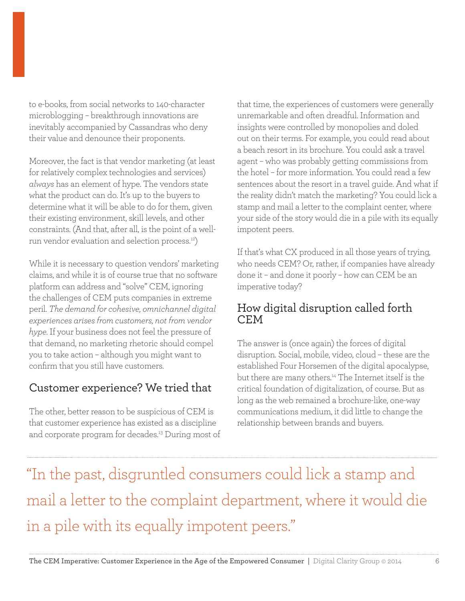to e-books, from social networks to 140-character microblogging – breakthrough innovations are inevitably accompanied by Cassandras who deny their value and denounce their proponents.

Moreover, the fact is that vendor marketing (at least for relatively complex technologies and services) *always* has an element of hype. The vendors state what the product can do. It's up to the buyers to determine what it will be able to do for them, given their existing environment, skill levels, and other constraints. (And that, after all, is the point of a wellrun vendor evaluation and selection process.12)

While it is necessary to question vendors' marketing claims, and while it is of course true that no software platform can address and "solve" CEM, ignoring the challenges of CEM puts companies in extreme peril. *The demand for cohesive, omnichannel digital experiences arises from customers, not from vendor hype.* If your business does not feel the pressure of that demand, no marketing rhetoric should compel you to take action – although you might want to confirm that you still have customers.

### Customer experience? We tried that

The other, better reason to be suspicious of CEM is that customer experience has existed as a discipline and corporate program for decades.<sup>13</sup> During most of that time, the experiences of customers were generally unremarkable and often dreadful. Information and insights were controlled by monopolies and doled out on their terms. For example, you could read about a beach resort in its brochure. You could ask a travel agent – who was probably getting commissions from the hotel – for more information. You could read a few sentences about the resort in a travel guide. And what if the reality didn't match the marketing? You could lick a stamp and mail a letter to the complaint center, where your side of the story would die in a pile with its equally impotent peers.

If that's what CX produced in all those years of trying, who needs CEM? Or, rather, if companies have already done it – and done it poorly – how can CEM be an imperative today?

### How digital disruption called forth CEM

The answer is (once again) the forces of digital disruption. Social, mobile, video, cloud – these are the established Four Horsemen of the digital apocalypse, but there are many others.<sup>14</sup> The Internet itself is the critical foundation of digitalization, of course. But as long as the web remained a brochure-like, one-way communications medium, it did little to change the relationship between brands and buyers.

"In the past, disgruntled consumers could lick a stamp and mail a letter to the complaint department, where it would die in a pile with its equally impotent peers."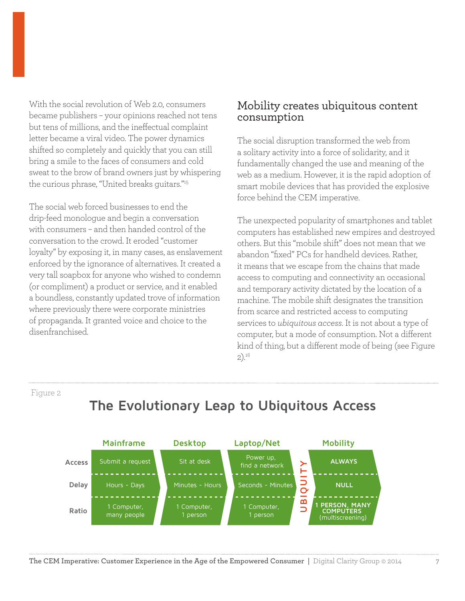With the social revolution of Web 2.0, consumers became publishers – your opinions reached not tens but tens of millions, and the ineffectual complaint letter became a viral video. The power dynamics shifted so completely and quickly that you can still bring a smile to the faces of consumers and cold sweat to the brow of brand owners just by whispering the curious phrase, "United breaks guitars."15

The social web forced businesses to end the drip-feed monologue and begin a conversation with consumers – and then handed control of the conversation to the crowd. It eroded "customer loyalty" by exposing it, in many cases, as enslavement enforced by the ignorance of alternatives. It created a very tall soapbox for anyone who wished to condemn (or compliment) a product or service, and it enabled a boundless, constantly updated trove of information where previously there were corporate ministries of propaganda. It granted voice and choice to the disenfranchised.

#### Mobility creates ubiquitous content consumption

The social disruption transformed the web from a solitary activity into a force of solidarity, and it fundamentally changed the use and meaning of the web as a medium. However, it is the rapid adoption of smart mobile devices that has provided the explosive force behind the CEM imperative.

The unexpected popularity of smartphones and tablet computers has established new empires and destroyed others. But this "mobile shift" does not mean that we abandon "fixed" PCs for handheld devices. Rather, it means that we escape from the chains that made access to computing and connectivity an occasional and temporary activity dictated by the location of a machine. The mobile shift designates the transition from scarce and restricted access to computing services to *ubiquitous access*. It is not about a type of computer, but a mode of consumption. Not a different kind of thing, but a different mode of being (see Figure 2).16

Figure 2



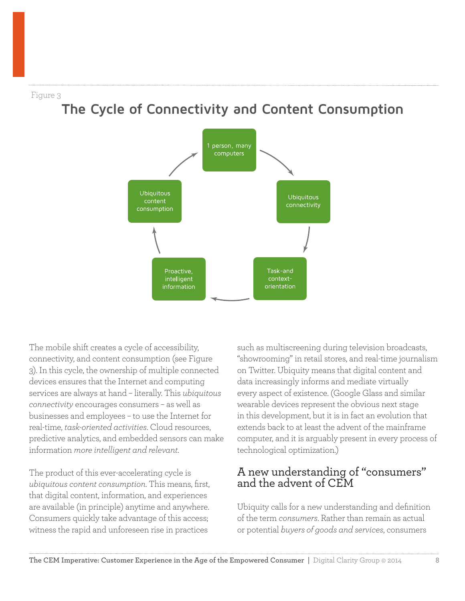Figure 3

## **The Cycle of Connectivity and Content Consumption**



The mobile shift creates a cycle of accessibility, connectivity, and content consumption (see Figure 3). In this cycle, the ownership of multiple connected devices ensures that the Internet and computing services are always at hand – literally. This *ubiquitous connectivity* encourages consumers – as well as businesses and employees – to use the Internet for real-time, *task-oriented activities*. Cloud resources, predictive analytics, and embedded sensors can make information *more intelligent and relevant.*

The product of this ever-accelerating cycle is *ubiquitous content consumption*. This means, first, that digital content, information, and experiences are available (in principle) anytime and anywhere. Consumers quickly take advantage of this access; witness the rapid and unforeseen rise in practices

such as multiscreening during television broadcasts, "showrooming" in retail stores, and real-time journalism on Twitter. Ubiquity means that digital content and data increasingly informs and mediate virtually every aspect of existence. (Google Glass and similar wearable devices represent the obvious next stage in this development, but it is in fact an evolution that extends back to at least the advent of the mainframe computer, and it is arguably present in every process of technological optimization.)

### A new understanding of "consumers" and the advent of CEM

Ubiquity calls for a new understanding and definition of the term *consumers*. Rather than remain as actual or potential *buyers of goods and services*, consumers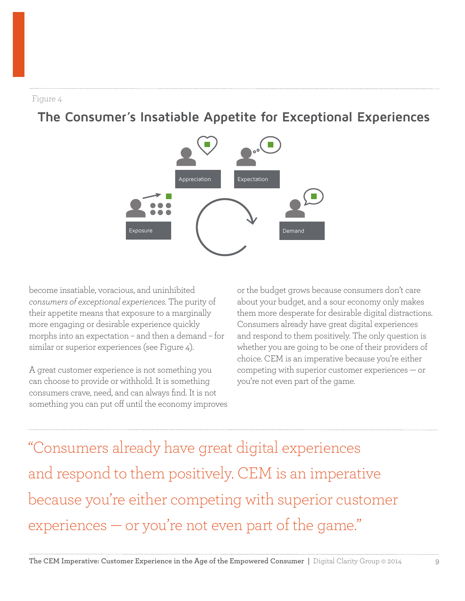Figure 4

## **The Consumer's Insatiable Appetite for Exceptional Experiences**



become insatiable, voracious, and uninhibited *consumers of exceptional experiences.* The purity of their appetite means that exposure to a marginally more engaging or desirable experience quickly morphs into an expectation – and then a demand – for similar or superior experiences (see Figure 4).

A great customer experience is not something you can choose to provide or withhold. It is something consumers crave, need, and can always find. It is not something you can put off until the economy improves

or the budget grows because consumers don't care about your budget, and a sour economy only makes them more desperate for desirable digital distractions. Consumers already have great digital experiences and respond to them positively. The only question is whether you are going to be one of their providers of choice. CEM is an imperative because you're either competing with superior customer experiences — or you're not even part of the game.

"Consumers already have great digital experiences and respond to them positively. CEM is an imperative because you're either competing with superior customer experiences — or you're not even part of the game."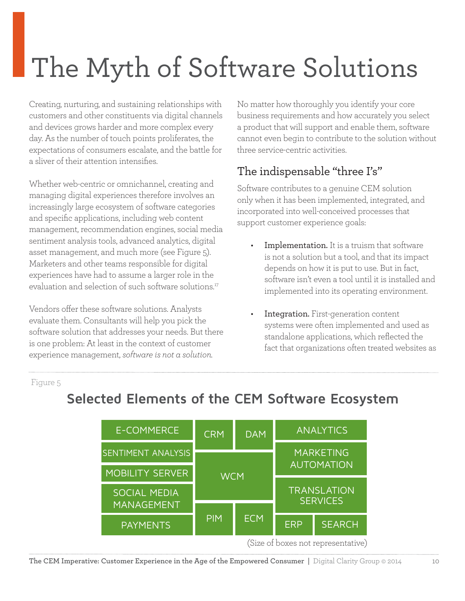## The Myth of Software Solutions

Creating, nurturing, and sustaining relationships with customers and other constituents via digital channels and devices grows harder and more complex every day. As the number of touch points proliferates, the expectations of consumers escalate, and the battle for a sliver of their attention intensifies.

Whether web-centric or omnichannel, creating and managing digital experiences therefore involves an increasingly large ecosystem of software categories and specific applications, including web content management, recommendation engines, social media sentiment analysis tools, advanced analytics, digital asset management, and much more (see Figure 5). Marketers and other teams responsible for digital experiences have had to assume a larger role in the evaluation and selection of such software solutions.<sup>17</sup>

Vendors offer these software solutions. Analysts evaluate them. Consultants will help you pick the software solution that addresses your needs. But there is one problem: At least in the context of customer experience management, *software is not a solution.*

No matter how thoroughly you identify your core business requirements and how accurately you select a product that will support and enable them, software cannot even begin to contribute to the solution without three service-centric activities.

### The indispensable "three I's"

Software contributes to a genuine CEM solution only when it has been implemented, integrated, and incorporated into well-conceived processes that support customer experience goals:

- Implementation. It is a truism that software is not a solution but a tool, and that its impact depends on how it is put to use. But in fact, software isn't even a tool until it is installed and implemented into its operating environment.
	- Integration. First-generation content systems were often implemented and used as standalone applications, which reflected the fact that organizations often treated websites as

Figure 5



## **Selected Elements of the CEM Software Ecosystem**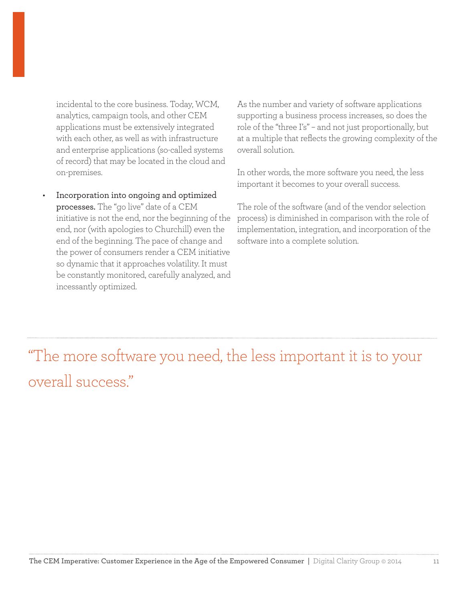incidental to the core business. Today, WCM, analytics, campaign tools, and other CEM applications must be extensively integrated with each other, as well as with infrastructure and enterprise applications (so-called systems of record) that may be located in the cloud and on-premises.

• Incorporation into ongoing and optimized processes. The "go live" date of a CEM initiative is not the end, nor the beginning of the end, nor (with apologies to Churchill) even the end of the beginning. The pace of change and the power of consumers render a CEM initiative so dynamic that it approaches volatility. It must be constantly monitored, carefully analyzed, and incessantly optimized.

As the number and variety of software applications supporting a business process increases, so does the role of the "three I's" – and not just proportionally, but at a multiple that reflects the growing complexity of the overall solution.

In other words, the more software you need, the less important it becomes to your overall success.

The role of the software (and of the vendor selection process) is diminished in comparison with the role of implementation, integration, and incorporation of the software into a complete solution.

"The more software you need, the less important it is to your overall success."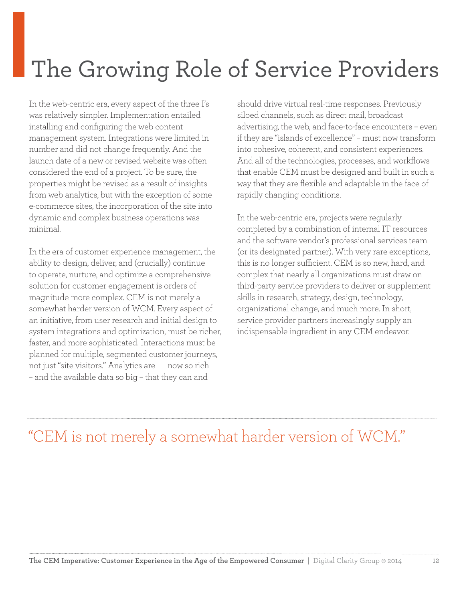## The Growing Role of Service Providers

In the web-centric era, every aspect of the three I's was relatively simpler. Implementation entailed installing and configuring the web content management system. Integrations were limited in number and did not change frequently. And the launch date of a new or revised website was often considered the end of a project. To be sure, the properties might be revised as a result of insights from web analytics, but with the exception of some e-commerce sites, the incorporation of the site into dynamic and complex business operations was minimal.

In the era of customer experience management, the ability to design, deliver, and (crucially) continue to operate, nurture, and optimize a comprehensive solution for customer engagement is orders of magnitude more complex. CEM is not merely a somewhat harder version of WCM. Every aspect of an initiative, from user research and initial design to system integrations and optimization, must be richer, faster, and more sophisticated. Interactions must be planned for multiple, segmented customer journeys, not just "site visitors." Analytics are now so rich – and the available data so big – that they can and

should drive virtual real-time responses. Previously siloed channels, such as direct mail, broadcast advertising, the web, and face-to-face encounters – even if they are "islands of excellence" – must now transform into cohesive, coherent, and consistent experiences. And all of the technologies, processes, and workflows that enable CEM must be designed and built in such a way that they are flexible and adaptable in the face of rapidly changing conditions.

In the web-centric era, projects were regularly completed by a combination of internal IT resources and the software vendor's professional services team (or its designated partner). With very rare exceptions, this is no longer sufficient. CEM is so new, hard, and complex that nearly all organizations must draw on third-party service providers to deliver or supplement skills in research, strategy, design, technology, organizational change, and much more. In short, service provider partners increasingly supply an indispensable ingredient in any CEM endeavor.

## "CEM is not merely a somewhat harder version of WCM."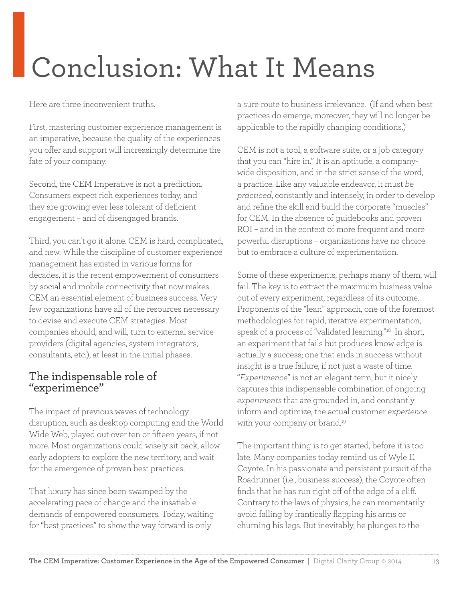## Conclusion: What It Means

Here are three inconvenient truths.

First, mastering customer experience management is an imperative, because the quality of the experiences you offer and support will increasingly determine the fate of your company.

Second, the CEM Imperative is not a prediction. Consumers expect rich experiences today, and they are growing ever less tolerant of deficient engagement – and of disengaged brands.

Third, you can't go it alone. CEM is hard, complicated, and new. While the discipline of customer experience management has existed in various forms for decades, it is the recent empowerment of consumers by social and mobile connectivity that now makes CEM an essential element of business success. Very few organizations have all of the resources necessary to devise and execute CEM strategies. Most companies should, and will, turn to external service providers (digital agencies, system integrators, consultants, etc.), at least in the initial phases.

### The indispensable role of "experimence"

The impact of previous waves of technology disruption, such as desktop computing and the World Wide Web, played out over ten or fifteen years, if not more. Most organizations could wisely sit back, allow early adopters to explore the new territory, and wait for the emergence of proven best practices.

That luxury has since been swamped by the accelerating pace of change and the insatiable demands of empowered consumers. Today, waiting for "best practices" to show the way forward is only

a sure route to business irrelevance. (If and when best practices do emerge, moreover, they will no longer be applicable to the rapidly changing conditions.)

CEM is not a tool, a software suite, or a job category that you can "hire in." It is an aptitude, a companywide disposition, and in the strict sense of the word, a practice. Like any valuable endeavor, it must *be practiced*, constantly and intensely, in order to develop and refine the skill and build the corporate "muscles" for CEM. In the absence of guidebooks and proven ROI – and in the context of more frequent and more powerful disruptions – organizations have no choice but to embrace a culture of experimentation.

Some of these experiments, perhaps many of them, will fail. The key is to extract the maximum business value out of every experiment, regardless of its outcome. Proponents of the "lean" approach, one of the foremost methodologies for rapid, iterative experimentation, speak of a process of "validated learning."18 In short, an experiment that fails but produces knowledge is actually a success; one that ends in success without insight is a true failure, if not just a waste of time. "*Experimence*" is not an elegant term, but it nicely captures this indispensable combination of ongoing *experiments* that are grounded in, and constantly inform and optimize, the actual customer *experience* with your company or brand.<sup>19</sup>

The important thing is to get started, before it is too late. Many companies today remind us of Wyle E. Coyote. In his passionate and persistent pursuit of the Roadrunner (i.e., business success), the Coyote often finds that he has run right off of the edge of a cliff. Contrary to the laws of physics, he can momentarily avoid falling by frantically flapping his arms or churning his legs. But inevitably, he plunges to the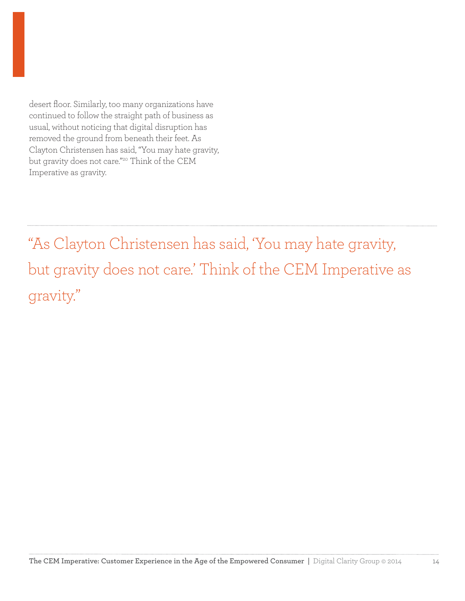desert floor. Similarly, too many organizations have continued to follow the straight path of business as usual, without noticing that digital disruption has removed the ground from beneath their feet. As Clayton Christensen has said, "You may hate gravity, but gravity does not care."20 Think of the CEM Imperative as gravity.

"As Clayton Christensen has said, 'You may hate gravity, but gravity does not care.' Think of the CEM Imperative as gravity."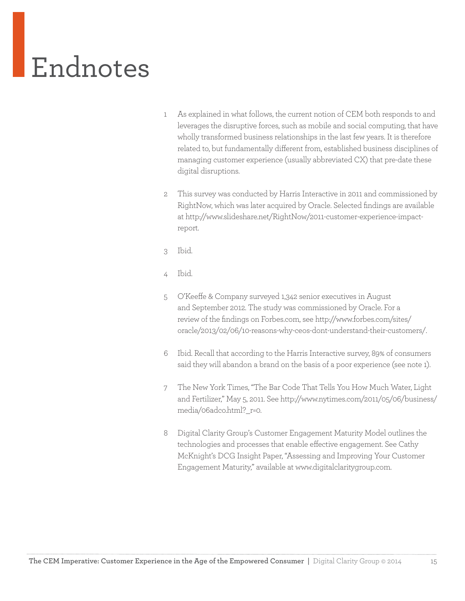# Endnotes

- 1 As explained in what follows, the current notion of CEM both responds to and leverages the disruptive forces, such as mobile and social computing, that have wholly transformed business relationships in the last few years. It is therefore related to, but fundamentally different from, established business disciplines of managing customer experience (usually abbreviated CX) that pre-date these digital disruptions.
- 2 This survey was conducted by Harris Interactive in 2011 and commissioned by RightNow, which was later acquired by Oracle. Selected findings are available at http://www.slideshare.net/RightNow/2011-customer-experience-impactreport.
- 3 Ibid.
- 4 Ibid.
- 5 O'Keeffe & Company surveyed 1,342 senior executives in August and September 2012. The study was commissioned by Oracle. For a review of the findings on Forbes.com, see http://www.forbes.com/sites/ oracle/2013/02/06/10-reasons-why-ceos-dont-understand-their-customers/.
- 6 Ibid. Recall that according to the Harris Interactive survey, 89% of consumers said they will abandon a brand on the basis of a poor experience (see note 1).
- 7 The New York Times, "The Bar Code That Tells You How Much Water, Light and Fertilizer," May 5, 2011. See http://www.nytimes.com/2011/05/06/business/ media/06adco.html?\_r=0.
- 8 Digital Clarity Group's Customer Engagement Maturity Model outlines the technologies and processes that enable effective engagement. See Cathy McKnight's DCG Insight Paper, "Assessing and Improving Your Customer Engagement Maturity," available at www.digitalclaritygroup.com.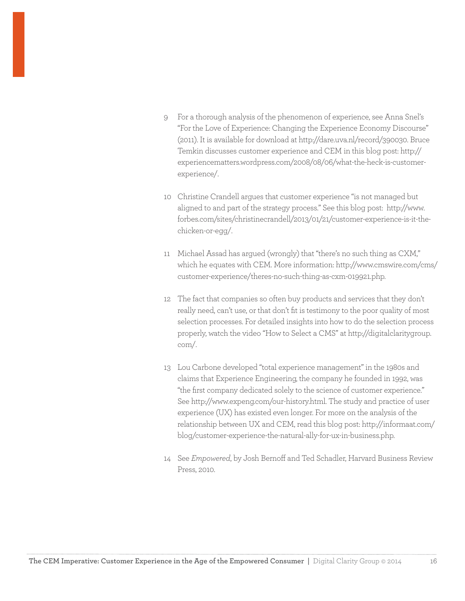- 9 For a thorough analysis of the phenomenon of experience, see Anna Snel's "For the Love of Experience: Changing the Experience Economy Discourse" (2011). It is available for download at http://dare.uva.nl/record/390030. Bruce Temkin discusses customer experience and CEM in this blog post: http:// experiencematters.wordpress.com/2008/08/06/what-the-heck-is-customerexperience/.
- 10 Christine Crandell argues that customer experience "is not managed but aligned to and part of the strategy process." See this blog post: http://www. forbes.com/sites/christinecrandell/2013/01/21/customer-experience-is-it-thechicken-or-egg/.
- 11 Michael Assad has argued (wrongly) that "there's no such thing as CXM," which he equates with CEM. More information: http://www.cmswire.com/cms/ customer-experience/theres-no-such-thing-as-cxm-019921.php.
- 12 The fact that companies so often buy products and services that they don't really need, can't use, or that don't fit is testimony to the poor quality of most selection processes. For detailed insights into how to do the selection process properly, watch the video "How to Select a CMS" at http://digitalclaritygroup. com/.
- 13 Lou Carbone developed "total experience management" in the 1980s and claims that Experience Engineering, the company he founded in 1992, was "the first company dedicated solely to the science of customer experience." See http://www.expeng.com/our-history.html. The study and practice of user experience (UX) has existed even longer. For more on the analysis of the relationship between UX and CEM, read this blog post: http://informaat.com/ blog/customer-experience-the-natural-ally-for-ux-in-business.php.
- 14 See *Empowered*, by Josh Bernoff and Ted Schadler, Harvard Business Review Press, 2010.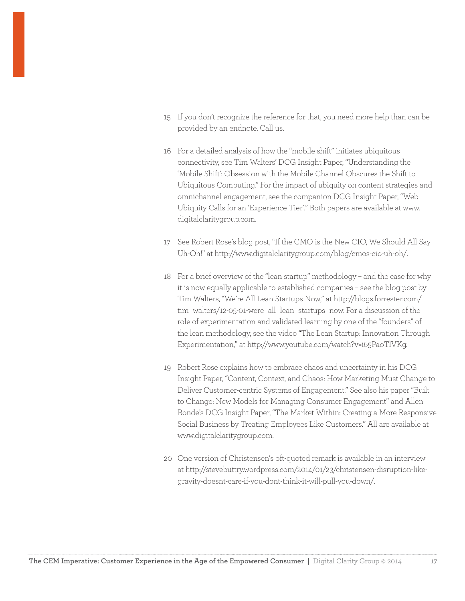- 15 If you don't recognize the reference for that, you need more help than can be provided by an endnote. Call us.
- 16 For a detailed analysis of how the "mobile shift" initiates ubiquitous connectivity, see Tim Walters' DCG Insight Paper, "Understanding the 'Mobile Shift': Obsession with the Mobile Channel Obscures the Shift to Ubiquitous Computing." For the impact of ubiquity on content strategies and omnichannel engagement, see the companion DCG Insight Paper, "Web Ubiquity Calls for an 'Experience Tier'." Both papers are available at www. digitalclaritygroup.com.
- 17 See Robert Rose's blog post, "If the CMO is the New CIO, We Should All Say Uh-Oh!" at http://www.digitalclaritygroup.com/blog/cmos-cio-uh-oh/.
- 18 For a brief overview of the "lean startup" methodology and the case for why it is now equally applicable to established companies – see the blog post by Tim Walters, "We're All Lean Startups Now," at http://blogs.forrester.com/ tim\_walters/12-05-01-were\_all\_lean\_startups\_now. For a discussion of the role of experimentation and validated learning by one of the "founders" of the lean methodology, see the video "The Lean Startup: Innovation Through Experimentation," at http://www.youtube.com/watch?v=i65PaoTlVKg.
- 19 Robert Rose explains how to embrace chaos and uncertainty in his DCG Insight Paper, "Content, Context, and Chaos: How Marketing Must Change to Deliver Customer-centric Systems of Engagement." See also his paper "Built to Change: New Models for Managing Consumer Engagement" and Allen Bonde's DCG Insight Paper, "The Market Within: Creating a More Responsive Social Business by Treating Employees Like Customers." All are available at www.digitalclaritygroup.com.
- 20 One version of Christensen's oft-quoted remark is available in an interview at http://stevebuttry.wordpress.com/2014/01/23/christensen-disruption-likegravity-doesnt-care-if-you-dont-think-it-will-pull-you-down/.